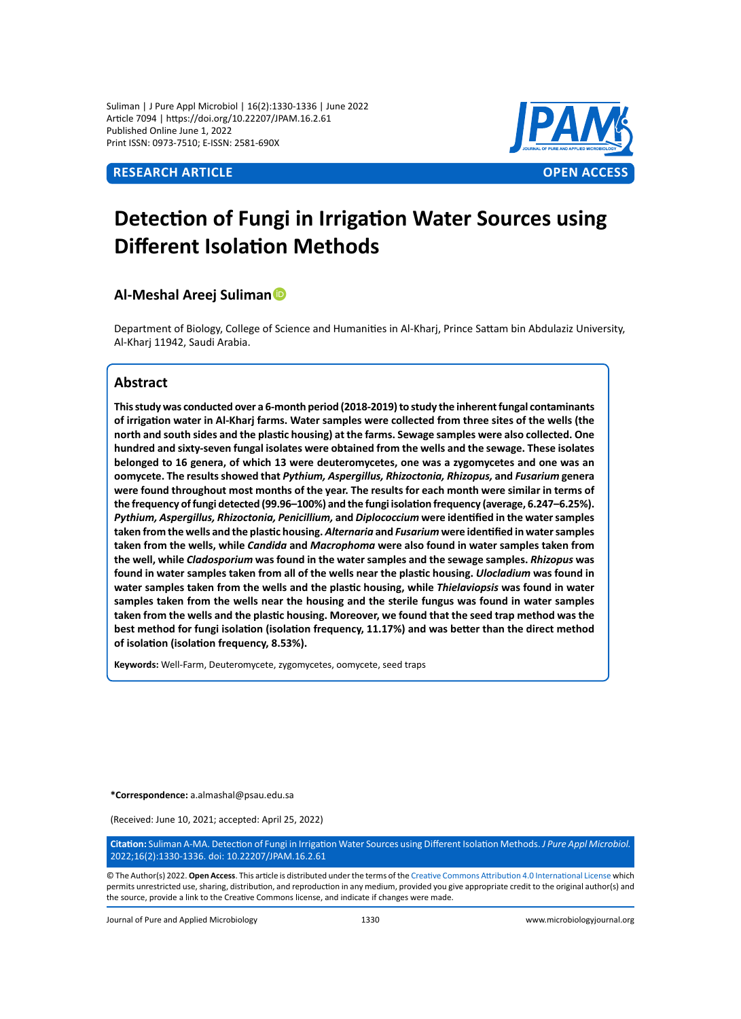Suliman | J Pure Appl Microbiol | 16(2):1330-1336 | June 2022 Article 7094 | https://doi.org/10.22207/JPAM.16.2.61 Published Online June 1, 2022 Print ISSN: 0973-7510; E-ISSN: 2581-690X



# **Detection of Fungi in Irrigation Water Sources using Different Isolation Methods**

# **Al-Meshal Areej Suliman**

Department of Biology, College of Science and Humanities in Al-Kharj, Prince Sattam bin Abdulaziz University, Al-Kharj 11942, Saudi Arabia.

# **Abstract**

**This study was conducted over a 6-month period (2018-2019) to study the inherent fungal contaminants of irrigation water in Al-Kharj farms. Water samples were collected from three sites of the wells (the north and south sides and the plastic housing) at the farms. Sewage samples were also collected. One hundred and sixty-seven fungal isolates were obtained from the wells and the sewage. These isolates belonged to 16 genera, of which 13 were deuteromycetes, one was a zygomycetes and one was an oomycete. The results showed that** *Pythium, Aspergillus, Rhizoctonia, Rhizopus,* **and** *Fusarium* **genera were found throughout most months of the year. The results for each month were similar in terms of the frequency of fungi detected (99.96–100%) and the fungi isolation frequency (average, 6.247–6.25%).**  *Pythium, Aspergillus, Rhizoctonia, Penicillium,* **and** *Diplococcium* **were identified in the water samples taken from the wells and the plastic housing.** *Alternaria* **and** *Fusarium* **were identified in water samples taken from the wells, while** *Candida* **and** *Macrophoma* **were also found in water samples taken from the well, while** *Cladosporium* **was found in the water samples and the sewage samples.** *Rhizopus* **was found in water samples taken from all of the wells near the plastic housing.** *Ulocladium* **was found in water samples taken from the wells and the plastic housing, while** *Thielaviopsis* **was found in water samples taken from the wells near the housing and the sterile fungus was found in water samples taken from the wells and the plastic housing. Moreover, we found that the seed trap method was the best method for fungi isolation (isolation frequency, 11.17%) and was better than the direct method of isolation (isolation frequency, 8.53%).**

**Keywords:** Well-Farm, Deuteromycete, zygomycetes, oomycete, seed traps

**\*Correspondence:** a.almashal@psau.edu.sa

(Received: June 10, 2021; accepted: April 25, 2022)

**Citation:** Suliman A-MA. Detection of Fungi in Irrigation Water Sources using Different Isolation Methods. *J Pure Appl Microbiol.* 2022;16(2):1330-1336. doi: 10.22207/JPAM.16.2.61

© The Author(s) 2022. **Open Access**. This article is distributed under the terms of the [Creative Commons Attribution 4.0 International License](https://creativecommons.org/licenses/by/4.0/) which permits unrestricted use, sharing, distribution, and reproduction in any medium, provided you give appropriate credit to the original author(s) and the source, provide a link to the Creative Commons license, and indicate if changes were made.

Journal of Pure and Applied Microbiology 1330 www.microbiologyjournal.org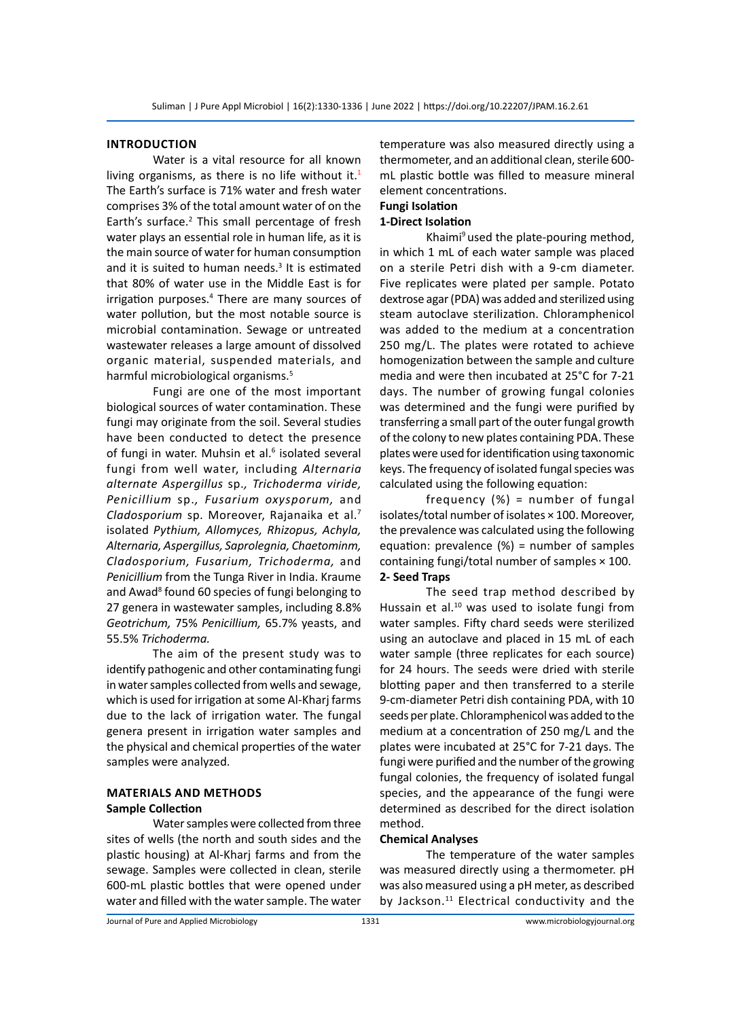#### **Introduction**

Water is a vital resource for all known living organisms, as there is no life without it.<sup>1</sup> The Earth's surface is 71% water and fresh water comprises 3% of the total amount water of on the Earth's surface.<sup>2</sup> This small percentage of fresh water plays an essential role in human life, as it is the main source of water for human consumption and it is suited to human needs.<sup>3</sup> It is estimated that 80% of water use in the Middle East is for irrigation purposes.<sup>4</sup> There are many sources of water pollution, but the most notable source is microbial contamination. Sewage or untreated wastewater releases a large amount of dissolved organic material, suspended materials, and harmful microbiological organisms.<sup>5</sup>

Fungi are one of the most important biological sources of water contamination. These fungi may originate from the soil. Several studies have been conducted to detect the presence of fungi in water. Muhsin et al.<sup>6</sup> isolated several fungi from well water, including *Alternaria alternate Aspergillus* sp.*, Trichoderma viride, Penicillium* sp.*, Fusarium oxysporum,* and *Cladosporium* sp. Moreover, Rajanaika et al.7 isolated *Pythium, Allomyces, Rhizopus, Achyla, Alternaria, Aspergillus, Saprolegnia, Chaetominm, Cladosporium, Fusarium, Trichoderma,* and *Penicillium* from the Tunga River in India. Kraume and Awad<sup>8</sup> found 60 species of fungi belonging to 27 genera in wastewater samples, including 8.8% *Geotrichum,* 75% *Penicillium,* 65.7% yeasts, and 55.5% *Trichoderma.* 

The aim of the present study was to identify pathogenic and other contaminating fungi in water samples collected from wells and sewage, which is used for irrigation at some Al-Kharj farms due to the lack of irrigation water. The fungal genera present in irrigation water samples and the physical and chemical properties of the water samples were analyzed.

# **Materials and Methods Sample Collection**

Water samples were collected from three sites of wells (the north and south sides and the plastic housing) at Al-Kharj farms and from the sewage. Samples were collected in clean, sterile 600-mL plastic bottles that were opened under water and filled with the water sample. The water temperature was also measured directly using a thermometer, and an additional clean, sterile 600 mL plastic bottle was filled to measure mineral element concentrations.

### **Fungi Isolation**

### **1-Direct Isolation**

Khaimi $9$  used the plate-pouring method, in which 1 mL of each water sample was placed on a sterile Petri dish with a 9-cm diameter. Five replicates were plated per sample. Potato dextrose agar (PDA) was added and sterilized using steam autoclave sterilization. Chloramphenicol was added to the medium at a concentration 250 mg/L. The plates were rotated to achieve homogenization between the sample and culture media and were then incubated at 25°C for 7-21 days. The number of growing fungal colonies was determined and the fungi were purified by transferring a small part of the outer fungal growth of the colony to new plates containing PDA. These plates were used for identification using taxonomic keys. The frequency of isolated fungal species was calculated using the following equation:

frequency (%) = number of fungal isolates/total number of isolates × 100. Moreover, the prevalence was calculated using the following equation: prevalence (%) = number of samples containing fungi/total number of samples × 100. **2- Seed Traps**

The seed trap method described by Hussain et al. $10$  was used to isolate fungi from water samples. Fifty chard seeds were sterilized using an autoclave and placed in 15 mL of each water sample (three replicates for each source) for 24 hours. The seeds were dried with sterile blotting paper and then transferred to a sterile 9-cm-diameter Petri dish containing PDA, with 10 seeds per plate. Chloramphenicol was added to the medium at a concentration of 250 mg/L and the plates were incubated at 25°C for 7-21 days. The fungi were purified and the number of the growing fungal colonies, the frequency of isolated fungal species, and the appearance of the fungi were determined as described for the direct isolation method.

#### **Chemical Analyses**

The temperature of the water samples was measured directly using a thermometer. pH was also measured using a pH meter, as described by Jackson. $11$  Electrical conductivity and the

Journal of Pure and Applied Microbiology 1331 www.microbiologyjournal.org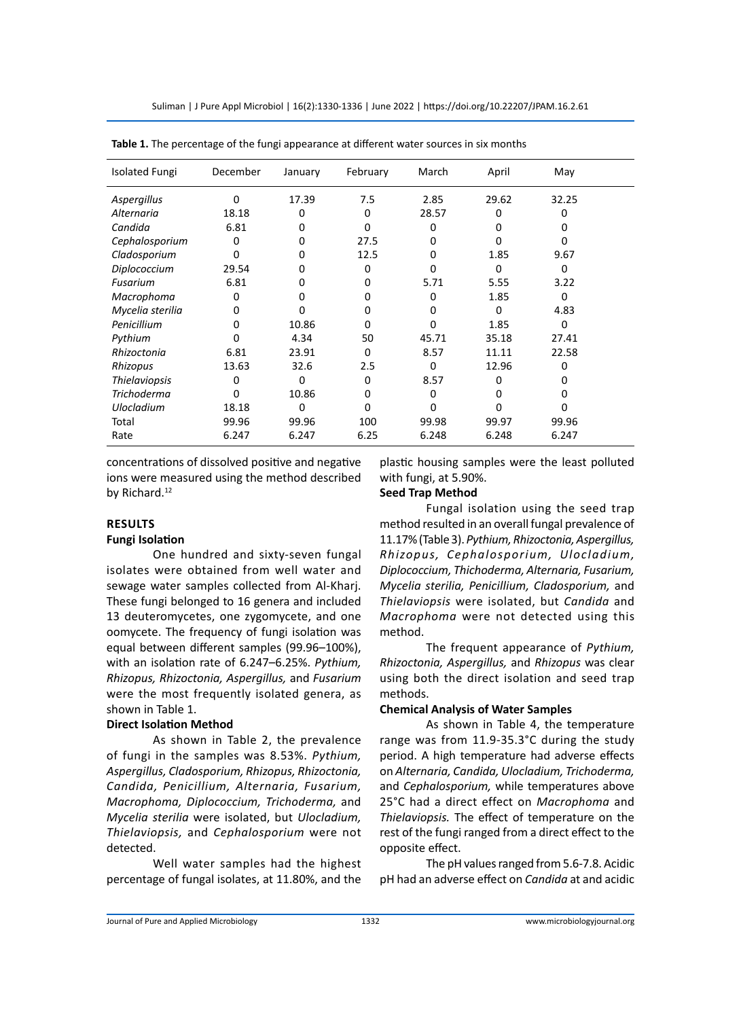Suliman | J Pure Appl Microbiol | 16(2):1330-1336 | June 2022 | https://doi.org/10.22207/JPAM.16.2.61

| December | January | February | March    | April    | May   |  |
|----------|---------|----------|----------|----------|-------|--|
| 0        | 17.39   | 7.5      | 2.85     | 29.62    | 32.25 |  |
| 18.18    | 0       | $\Omega$ | 28.57    | 0        | O     |  |
| 6.81     | ŋ       | O        | 0        | n        |       |  |
| 0        | 0       | 27.5     | 0        | ŋ        | ŋ     |  |
| 0        | 0       | 12.5     | 0        | 1.85     | 9.67  |  |
| 29.54    | 0       | 0        | O        | $\Omega$ | O     |  |
| 6.81     | 0       | 0        | 5.71     | 5.55     | 3.22  |  |
| 0        | 0       | 0        | 0        | 1.85     | 0     |  |
| 0        | O       | 0        | 0        | $\Omega$ | 4.83  |  |
| 0        | 10.86   | 0        | 0        | 1.85     | 0     |  |
| 0        | 4.34    | 50       | 45.71    | 35.18    | 27.41 |  |
| 6.81     | 23.91   | 0        | 8.57     | 11.11    | 22.58 |  |
| 13.63    | 32.6    | 2.5      | $\Omega$ | 12.96    | 0     |  |
| 0        | 0       | 0        | 8.57     | 0        |       |  |
| 0        | 10.86   | 0        | 0        | Ω        |       |  |
| 18.18    | O       | ŋ        | n        |          |       |  |
| 99.96    | 99.96   | 100      | 99.98    | 99.97    | 99.96 |  |
| 6.247    | 6.247   | 6.25     | 6.248    | 6.248    | 6.247 |  |
|          |         |          |          |          |       |  |

**Table 1.** The percentage of the fungi appearance at different water sources in six months

concentrations of dissolved positive and negative ions were measured using the method described by Richard.<sup>12</sup>

### **ResultS**

#### **Fungi Isolation**

One hundred and sixty-seven fungal isolates were obtained from well water and sewage water samples collected from Al-Kharj. These fungi belonged to 16 genera and included 13 deuteromycetes, one zygomycete, and one oomycete. The frequency of fungi isolation was equal between different samples (99.96–100%), with an isolation rate of 6.247–6.25%. *Pythium, Rhizopus, Rhizoctonia, Aspergillus,* and *Fusarium*  were the most frequently isolated genera, as shown in Table 1.

#### **Direct Isolation Method**

As shown in Table 2, the prevalence of fungi in the samples was 8.53%. *Pythium, Aspergillus, Cladosporium, Rhizopus, Rhizoctonia, Candida, Penicillium, Alternaria, Fusarium, Macrophoma, Diplococcium, Trichoderma,* and *Mycelia sterilia* were isolated, but *Ulocladium, Thielaviopsis,* and *Cephalosporium* were not detected.

Well water samples had the highest percentage of fungal isolates, at 11.80%, and the plastic housing samples were the least polluted with fungi, at 5.90%.

#### **Seed Trap Method**

Fungal isolation using the seed trap method resulted in an overall fungal prevalence of 11.17% (Table 3). *Pythium, Rhizoctonia, Aspergillus, Rhizopus, Cephalosporium, Ulocladium, Diplococcium, Thichoderma, Alternaria, Fusarium, Mycelia sterilia, Penicillium, Cladosporium,* and *Thielaviopsis* were isolated, but *Candida* and *Macrophoma* were not detected using this method.

The frequent appearance of *Pythium, Rhizoctonia, Aspergillus,* and *Rhizopus* was clear using both the direct isolation and seed trap methods.

#### **Chemical Analysis of Water Samples**

As shown in Table 4, the temperature range was from 11.9-35.3°C during the study period. A high temperature had adverse effects on *Alternaria, Candida, Ulocladium, Trichoderma,*  and *Cephalosporium,* while temperatures above 25°C had a direct effect on *Macrophoma* and *Thielaviopsis.* The effect of temperature on the rest of the fungi ranged from a direct effect to the opposite effect.

The pH values ranged from 5.6-7.8. Acidic pH had an adverse effect on *Candida* at and acidic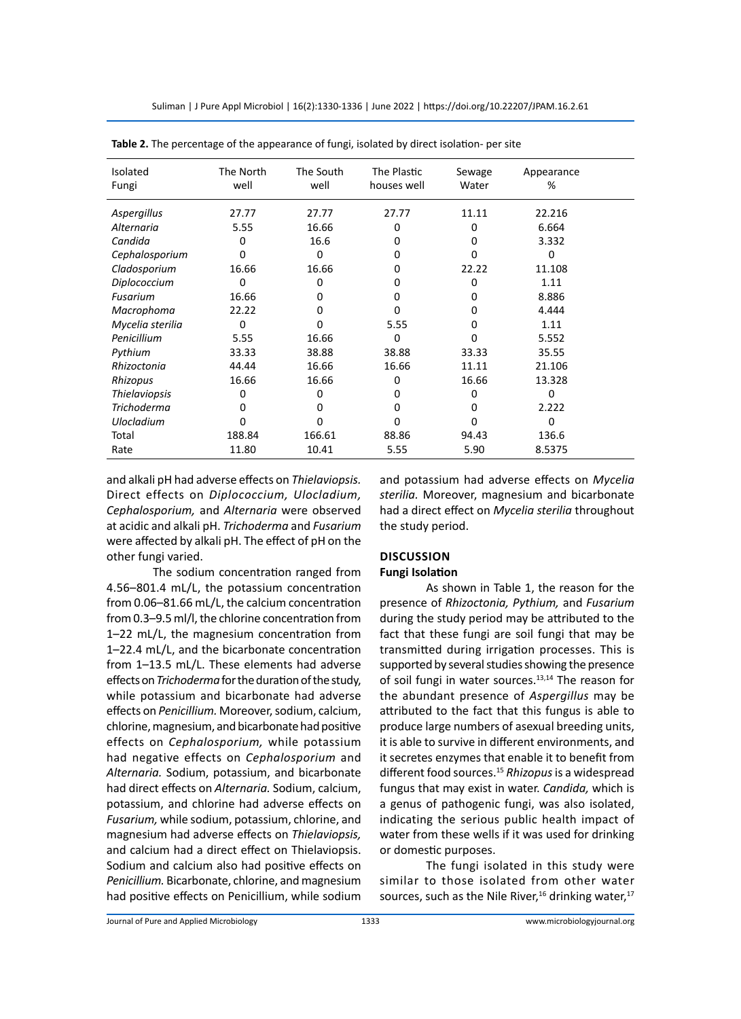Suliman | J Pure Appl Microbiol | 16(2):1330-1336 | June 2022 | https://doi.org/10.22207/JPAM.16.2.61

| Isolated             | The North | The South | The Plastic | Sewage | Appearance   |  |
|----------------------|-----------|-----------|-------------|--------|--------------|--|
| Fungi                | well      | well      | houses well | Water  | %            |  |
|                      |           |           |             |        |              |  |
| Aspergillus          | 27.77     | 27.77     | 27.77       | 11.11  | 22.216       |  |
| Alternaria           | 5.55      | 16.66     | 0           | 0      | 6.664        |  |
| Candida              | 0         | 16.6      | 0           | 0      | 3.332        |  |
| Cephalosporium       | o         | 0         | o           | o      | n            |  |
| Cladosporium         | 16.66     | 16.66     | 0           | 22.22  | 11.108       |  |
| Diplococcium         | 0         | 0         | 0           | 0      | 1.11         |  |
| Fusarium             | 16.66     | 0         | 0           | 0      | 8.886        |  |
| Macrophoma           | 22.22     | 0         | o           | 0      | 4.444        |  |
| Mycelia sterilia     | 0         | 0         | 5.55        | 0      | 1.11         |  |
| Penicillium          | 5.55      | 16.66     | 0           | o      | 5.552        |  |
| Pythium              | 33.33     | 38.88     | 38.88       | 33.33  | 35.55        |  |
| Rhizoctonia          | 44.44     | 16.66     | 16.66       | 11.11  | 21.106       |  |
| Rhizopus             | 16.66     | 16.66     | 0           | 16.66  | 13.328       |  |
| <b>Thielaviopsis</b> | 0         | 0         | o           | 0      | <sup>0</sup> |  |
| <b>Trichoderma</b>   | 0         | 0         | 0           | 0      | 2.222        |  |
| <b>Ulocladium</b>    | 0         | 0         | 0           | 0      | 0            |  |
| Total                | 188.84    | 166.61    | 88.86       | 94.43  | 136.6        |  |
| Rate                 | 11.80     | 10.41     | 5.55        | 5.90   | 8.5375       |  |

**Table 2.** The percentage of the appearance of fungi, isolated by direct isolation- per site

and alkali pH had adverse effects on *Thielaviopsis.*  Direct effects on *Diplococcium, Ulocladium, Cephalosporium,* and *Alternaria* were observed at acidic and alkali pH. *Trichoderma* and *Fusarium*  were affected by alkali pH. The effect of pH on the other fungi varied.

The sodium concentration ranged from 4.56–801.4 mL/L, the potassium concentration from 0.06–81.66 mL/L, the calcium concentration from 0.3–9.5 ml/l, the chlorine concentration from 1–22 mL/L, the magnesium concentration from 1–22.4 mL/L, and the bicarbonate concentration from 1–13.5 mL/L. These elements had adverse effects on *Trichoderma* for the duration of the study, while potassium and bicarbonate had adverse effects on *Penicillium.* Moreover, sodium, calcium, chlorine, magnesium, and bicarbonate had positive effects on *Cephalosporium,* while potassium had negative effects on *Cephalosporium* and *Alternaria.* Sodium, potassium, and bicarbonate had direct effects on *Alternaria.* Sodium, calcium, potassium, and chlorine had adverse effects on *Fusarium,* while sodium, potassium, chlorine, and magnesium had adverse effects on *Thielaviopsis,*  and calcium had a direct effect on Thielaviopsis. Sodium and calcium also had positive effects on *Penicillium.* Bicarbonate, chlorine, and magnesium had positive effects on Penicillium, while sodium and potassium had adverse effects on *Mycelia sterilia.* Moreover, magnesium and bicarbonate had a direct effect on *Mycelia sterilia* throughout the study period.

# **Discussion**

# **Fungi Isolation**

As shown in Table 1, the reason for the presence of *Rhizoctonia, Pythium,* and *Fusarium*  during the study period may be attributed to the fact that these fungi are soil fungi that may be transmitted during irrigation processes. This is supported by several studies showing the presence of soil fungi in water sources.<sup>13,14</sup> The reason for the abundant presence of *Aspergillus* may be attributed to the fact that this fungus is able to produce large numbers of asexual breeding units, it is able to survive in different environments, and it secretes enzymes that enable it to benefit from different food sources.<sup>15</sup> *Rhizopus* is a widespread fungus that may exist in water. *Candida,* which is a genus of pathogenic fungi, was also isolated, indicating the serious public health impact of water from these wells if it was used for drinking or domestic purposes.

The fungi isolated in this study were similar to those isolated from other water sources, such as the Nile River,<sup>16</sup> drinking water, $17$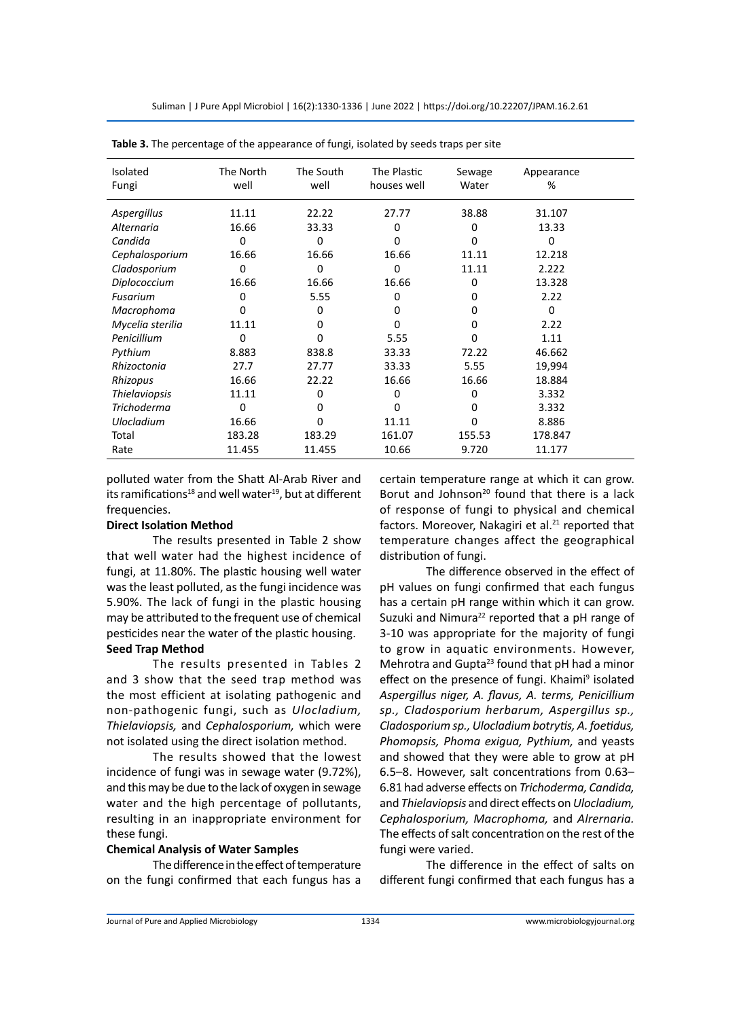Suliman | J Pure Appl Microbiol | 16(2):1330-1336 | June 2022 | https://doi.org/10.22207/JPAM.16.2.61

| <b>Isolated</b>      | The North | The South | The Plastic | Sewage | Appearance |  |
|----------------------|-----------|-----------|-------------|--------|------------|--|
| Fungi                | well      | well      | houses well | Water  | %          |  |
|                      |           |           |             |        |            |  |
| Aspergillus          | 11.11     | 22.22     | 27.77       | 38.88  | 31.107     |  |
| Alternaria           | 16.66     | 33.33     | 0           | 0      | 13.33      |  |
| Candida              | 0         | 0         | o           | 0      | O          |  |
| Cephalosporium       | 16.66     | 16.66     | 16.66       | 11.11  | 12.218     |  |
| Cladosporium         | 0         | 0         | 0           | 11.11  | 2.222      |  |
| Diplococcium         | 16.66     | 16.66     | 16.66       | 0      | 13.328     |  |
| Fusarium             | 0         | 5.55      | 0           | 0      | 2.22       |  |
| Macrophoma           | ი         | 0         | 0           | 0      | $\Omega$   |  |
| Mycelia sterilia     | 11.11     | 0         | O           | 0      | 2.22       |  |
| Penicillium          | 0         | o         | 5.55        | O      | 1.11       |  |
| Pythium              | 8.883     | 838.8     | 33.33       | 72.22  | 46.662     |  |
| Rhizoctonia          | 27.7      | 27.77     | 33.33       | 5.55   | 19,994     |  |
| Rhizopus             | 16.66     | 22.22     | 16.66       | 16.66  | 18.884     |  |
| <b>Thielaviopsis</b> | 11.11     | 0         | O           | o      | 3.332      |  |
| <b>Trichoderma</b>   | 0         | 0         | O           | 0      | 3.332      |  |
| <b>Ulocladium</b>    | 16.66     | 0         | 11.11       | 0      | 8.886      |  |
| Total                | 183.28    | 183.29    | 161.07      | 155.53 | 178.847    |  |
| Rate                 | 11.455    | 11.455    | 10.66       | 9.720  | 11.177     |  |

**Table 3.** The percentage of the appearance of fungi, isolated by seeds traps per site

polluted water from the Shatt Al-Arab River and its ramifications<sup>18</sup> and well water<sup>19</sup>, but at different frequencies.

#### **Direct Isolation Method**

The results presented in Table 2 show that well water had the highest incidence of fungi, at 11.80%. The plastic housing well water was the least polluted, as the fungi incidence was 5.90%. The lack of fungi in the plastic housing may be attributed to the frequent use of chemical pesticides near the water of the plastic housing. **Seed Trap Method** 

The results presented in Tables 2 and 3 show that the seed trap method was the most efficient at isolating pathogenic and non-pathogenic fungi, such as *Ulocladium, Thielaviopsis,* and *Cephalosporium,* which were not isolated using the direct isolation method.

The results showed that the lowest incidence of fungi was in sewage water (9.72%), and this may be due to the lack of oxygen in sewage water and the high percentage of pollutants, resulting in an inappropriate environment for these fungi.

#### **Chemical Analysis of Water Samples**

The difference in the effect of temperature on the fungi confirmed that each fungus has a certain temperature range at which it can grow. Borut and Johnson<sup>20</sup> found that there is a lack of response of fungi to physical and chemical factors. Moreover, Nakagiri et al.<sup>21</sup> reported that temperature changes affect the geographical distribution of fungi.

The difference observed in the effect of pH values on fungi confirmed that each fungus has a certain pH range within which it can grow. Suzuki and Nimura<sup>22</sup> reported that a pH range of 3-10 was appropriate for the majority of fungi to grow in aquatic environments. However, Mehrotra and Gupta<sup>23</sup> found that pH had a minor effect on the presence of fungi. Khaimi<sup>9</sup> isolated *Aspergillus niger, A. flavus, A. terms, Penicillium sp., Cladosporium herbarum, Aspergillus sp., Cladosporium sp., Ulocladium botrytis, A. foetidus, Phomopsis, Phoma exigua, Pythium,* and yeasts and showed that they were able to grow at pH 6.5–8. However, salt concentrations from 0.63– 6.81 had adverse effects on *Trichoderma, Candida,*  and *Thielaviopsis* and direct effects on *Ulocladium, Cephalosporium, Macrophoma,* and *Alrernaria.* The effects of salt concentration on the rest of the fungi were varied.

The difference in the effect of salts on different fungi confirmed that each fungus has a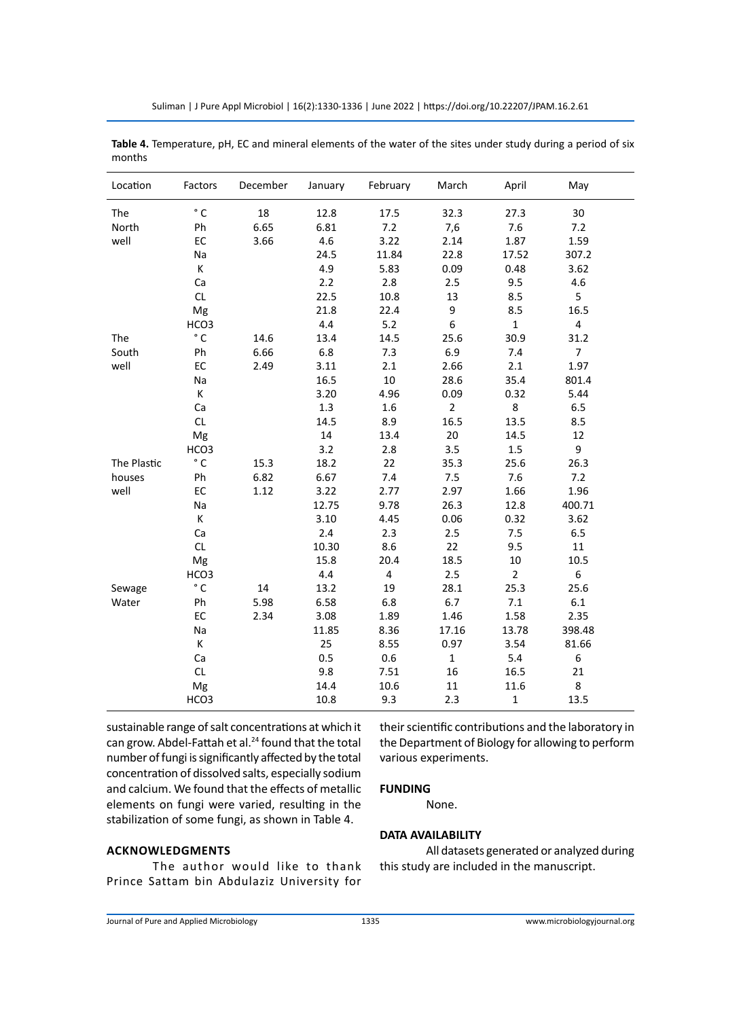| Location    | Factors      | December | January | February | March          | April          | May            |  |
|-------------|--------------|----------|---------|----------|----------------|----------------|----------------|--|
| The         | $\degree$ C  | 18       | 12.8    | 17.5     | 32.3           | 27.3           | 30             |  |
| North       | Ph           | 6.65     | 6.81    | 7.2      | 7,6            | 7.6            | 7.2            |  |
| well        | EC           | 3.66     | 4.6     | 3.22     | 2.14           | 1.87           | 1.59           |  |
|             | Na           |          | 24.5    | 11.84    | 22.8           | 17.52          | 307.2          |  |
|             | К            |          | 4.9     | 5.83     | 0.09           | 0.48           | 3.62           |  |
|             | Ca           |          | 2.2     | 2.8      | 2.5            | 9.5            | 4.6            |  |
|             | <b>CL</b>    |          | 22.5    | 10.8     | 13             | 8.5            | 5              |  |
|             | Mg           |          | 21.8    | 22.4     | 9              | 8.5            | 16.5           |  |
|             | HCO3         |          | 4.4     | 5.2      | 6              | $\mathbf{1}$   | $\overline{4}$ |  |
| The         | $^{\circ}$ C | 14.6     | 13.4    | 14.5     | 25.6           | 30.9           | 31.2           |  |
| South       | Ph           | 6.66     | 6.8     | 7.3      | 6.9            | 7.4            | $\overline{7}$ |  |
| well        | EC           | 2.49     | 3.11    | 2.1      | 2.66           | 2.1            | 1.97           |  |
|             | Na           |          | 16.5    | 10       | 28.6           | 35.4           | 801.4          |  |
|             | K            |          | 3.20    | 4.96     | 0.09           | 0.32           | 5.44           |  |
|             | Ca           |          | 1.3     | 1.6      | $\overline{2}$ | 8              | 6.5            |  |
|             | CL           |          | 14.5    | 8.9      | 16.5           | 13.5           | 8.5            |  |
|             | Mg           |          | 14      | 13.4     | 20             | 14.5           | 12             |  |
|             | HCO3         |          | 3.2     | 2.8      | 3.5            | 1.5            | 9              |  |
| The Plastic | $^{\circ}$ C | 15.3     | 18.2    | 22       | 35.3           | 25.6           | 26.3           |  |
| houses      | Ph           | 6.82     | 6.67    | 7.4      | 7.5            | 7.6            | 7.2            |  |
| well        | EC           | 1.12     | 3.22    | 2.77     | 2.97           | 1.66           | 1.96           |  |
|             | Na           |          | 12.75   | 9.78     | 26.3           | 12.8           | 400.71         |  |
|             | Κ            |          | 3.10    | 4.45     | 0.06           | 0.32           | 3.62           |  |
|             | Ca           |          | 2.4     | 2.3      | 2.5            | 7.5            | 6.5            |  |
|             | CL           |          | 10.30   | 8.6      | 22             | 9.5            | 11             |  |
|             | Mg           |          | 15.8    | 20.4     | 18.5           | $10\,$         | 10.5           |  |
|             | HCO3         |          | 4.4     | 4        | 2.5            | $\overline{2}$ | 6              |  |
| Sewage      | $^{\circ}$ C | 14       | 13.2    | 19       | 28.1           | 25.3           | 25.6           |  |
| Water       | Ph           | 5.98     | 6.58    | 6.8      | 6.7            | 7.1            | 6.1            |  |
|             | EC           | 2.34     | 3.08    | 1.89     | 1.46           | 1.58           | 2.35           |  |
|             | Na           |          | 11.85   | 8.36     | 17.16          | 13.78          | 398.48         |  |
|             | Κ            |          | 25      | 8.55     | 0.97           | 3.54           | 81.66          |  |
|             | Ca           |          | 0.5     | 0.6      | $\mathbf{1}$   | 5.4            | 6              |  |
|             | CL           |          | 9.8     | 7.51     | 16             | 16.5           | 21             |  |
|             | Mg           |          | 14.4    | 10.6     | 11             | 11.6           | 8              |  |
|             | HCO3         |          | 10.8    | 9.3      | 2.3            | $\mathbf 1$    | 13.5           |  |

**Table 4.** Temperature, pH, EC and mineral elements of the water of the sites under study during a period of six months

sustainable range of salt concentrations at which it can grow. Abdel-Fattah et al.<sup>24</sup> found that the total number of fungi is significantly affected by the total concentration of dissolved salts, especially sodium and calcium. We found that the effects of metallic elements on fungi were varied, resulting in the stabilization of some fungi, as shown in Table 4.

their scientific contributions and the laboratory in the Department of Biology for allowing to perform various experiments.

# **FUNDING**

None.

# **DATA AVAILABILITY**

**AcknowledgmentS**

The author would like to thank Prince Sattam bin Abdulaziz University for

All datasets generated or analyzed during this study are included in the manuscript.